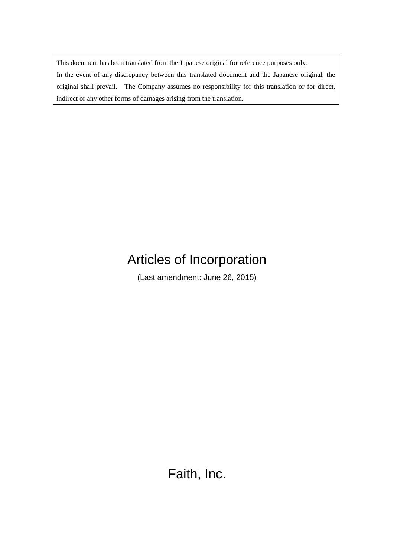This document has been translated from the Japanese original for reference purposes only. In the event of any discrepancy between this translated document and the Japanese original, the original shall prevail. The Company assumes no responsibility for this translation or for direct, indirect or any other forms of damages arising from the translation.

# Articles of Incorporation

(Last amendment: June 26, 2015)

Faith, Inc.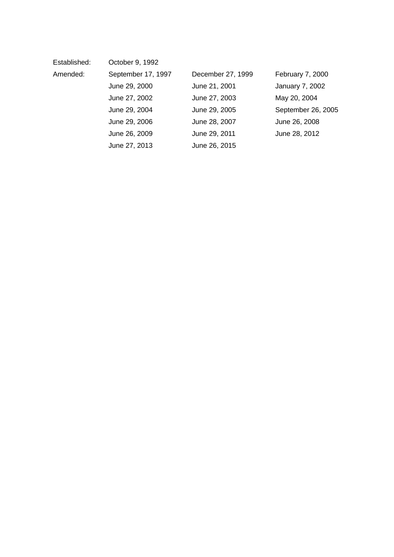| Established: | October 9, 1992    |                   |                        |
|--------------|--------------------|-------------------|------------------------|
| Amended:     | September 17, 1997 | December 27, 1999 | February 7, 2000       |
|              | June 29, 2000      | June 21, 2001     | <b>January 7, 2002</b> |
|              | June 27, 2002      | June 27, 2003     | May 20, 2004           |
|              | June 29, 2004      | June 29, 2005     | September 26, 2005     |
|              | June 29, 2006      | June 28, 2007     | June 26, 2008          |
|              | June 26, 2009      | June 29, 2011     | June 28, 2012          |
|              | June 27, 2013      | June 26, 2015     |                        |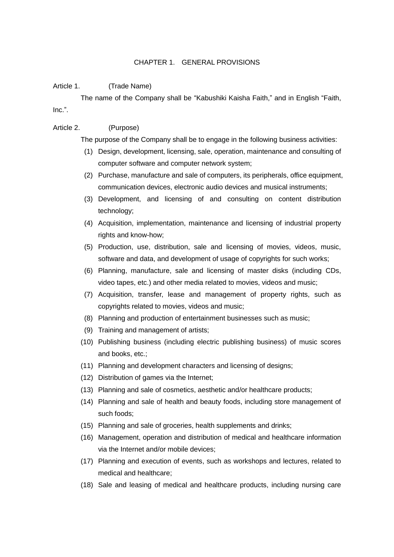#### CHAPTER 1. GENERAL PROVISIONS

#### Article 1. (Trade Name)

The name of the Company shall be "Kabushiki Kaisha Faith," and in English "Faith, Inc.".

#### Article 2. (Purpose)

The purpose of the Company shall be to engage in the following business activities:

- (1) Design, development, licensing, sale, operation, maintenance and consulting of computer software and computer network system;
- (2) Purchase, manufacture and sale of computers, its peripherals, office equipment, communication devices, electronic audio devices and musical instruments;
- (3) Development, and licensing of and consulting on content distribution technology;
- (4) Acquisition, implementation, maintenance and licensing of industrial property rights and know-how;
- (5) Production, use, distribution, sale and licensing of movies, videos, music, software and data, and development of usage of copyrights for such works;
- (6) Planning, manufacture, sale and licensing of master disks (including CDs, video tapes, etc.) and other media related to movies, videos and music;
- (7) Acquisition, transfer, lease and management of property rights, such as copyrights related to movies, videos and music;
- (8) Planning and production of entertainment businesses such as music;
- (9) Training and management of artists;
- (10) Publishing business (including electric publishing business) of music scores and books, etc.;
- (11) Planning and development characters and licensing of designs;
- (12) Distribution of games via the Internet;
- (13) Planning and sale of cosmetics, aesthetic and/or healthcare products;
- (14) Planning and sale of health and beauty foods, including store management of such foods;
- (15) Planning and sale of groceries, health supplements and drinks;
- (16) Management, operation and distribution of medical and healthcare information via the Internet and/or mobile devices;
- (17) Planning and execution of events, such as workshops and lectures, related to medical and healthcare;
- (18) Sale and leasing of medical and healthcare products, including nursing care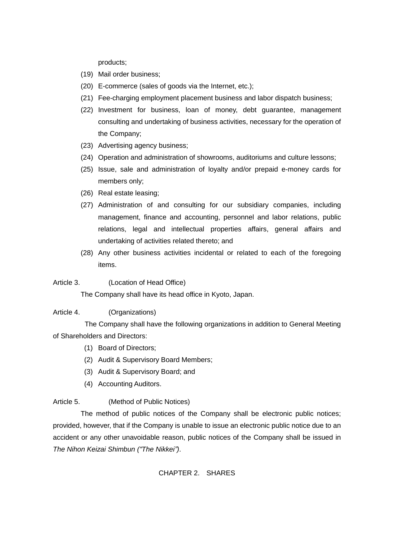products;

- (19) Mail order business;
- (20) E-commerce (sales of goods via the Internet, etc.);
- (21) Fee-charging employment placement business and labor dispatch business;
- (22) Investment for business, loan of money, debt guarantee, management consulting and undertaking of business activities, necessary for the operation of the Company;
- (23) Advertising agency business;
- (24) Operation and administration of showrooms, auditoriums and culture lessons;
- (25) Issue, sale and administration of loyalty and/or prepaid e-money cards for members only;
- (26) Real estate leasing;
- (27) Administration of and consulting for our subsidiary companies, including management, finance and accounting, personnel and labor relations, public relations, legal and intellectual properties affairs, general affairs and undertaking of activities related thereto; and
- (28) Any other business activities incidental or related to each of the foregoing items.
- Article 3. (Location of Head Office)

The Company shall have its head office in Kyoto, Japan.

Article 4. (Organizations)

The Company shall have the following organizations in addition to General Meeting of Shareholders and Directors:

- (1) Board of Directors;
- (2) Audit & Supervisory Board Members;
- (3) Audit & Supervisory Board; and
- (4) Accounting Auditors.

### Article 5. (Method of Public Notices)

The method of public notices of the Company shall be electronic public notices; provided, however, that if the Company is unable to issue an electronic public notice due to an accident or any other unavoidable reason, public notices of the Company shall be issued in *The Nihon Keizai Shimbun ("The Nikkei")*.

#### CHAPTER 2. SHARES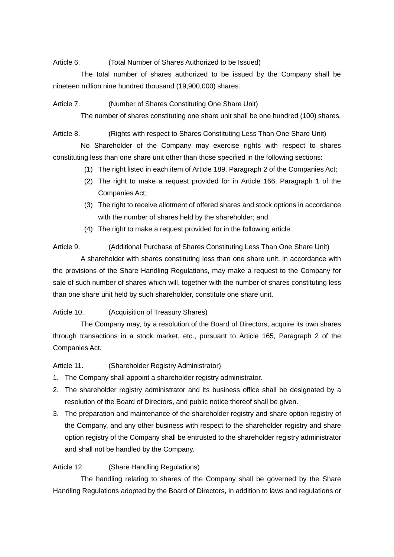Article 6. (Total Number of Shares Authorized to be Issued)

The total number of shares authorized to be issued by the Company shall be nineteen million nine hundred thousand (19,900,000) shares.

Article 7. (Number of Shares Constituting One Share Unit)

The number of shares constituting one share unit shall be one hundred (100) shares.

Article 8. (Rights with respect to Shares Constituting Less Than One Share Unit) No Shareholder of the Company may exercise rights with respect to shares constituting less than one share unit other than those specified in the following sections:

- (1) The right listed in each item of Article 189, Paragraph 2 of the Companies Act;
- (2) The right to make a request provided for in Article 166, Paragraph 1 of the Companies Act;
- (3) The right to receive allotment of offered shares and stock options in accordance with the number of shares held by the shareholder; and
- (4) The right to make a request provided for in the following article.

Article 9. (Additional Purchase of Shares Constituting Less Than One Share Unit) A shareholder with shares constituting less than one share unit, in accordance with the provisions of the Share Handling Regulations, may make a request to the Company for sale of such number of shares which will, together with the number of shares constituting less than one share unit held by such shareholder, constitute one share unit.

Article 10. (Acquisition of Treasury Shares)

The Company may, by a resolution of the Board of Directors, acquire its own shares through transactions in a stock market, etc., pursuant to Article 165, Paragraph 2 of the Companies Act.

Article 11. (Shareholder Registry Administrator)

- 1. The Company shall appoint a shareholder registry administrator.
- 2. The shareholder registry administrator and its business office shall be designated by a resolution of the Board of Directors, and public notice thereof shall be given.
- 3. The preparation and maintenance of the shareholder registry and share option registry of the Company, and any other business with respect to the shareholder registry and share option registry of the Company shall be entrusted to the shareholder registry administrator and shall not be handled by the Company.

## Article 12. (Share Handling Regulations)

The handling relating to shares of the Company shall be governed by the Share Handling Regulations adopted by the Board of Directors, in addition to laws and regulations or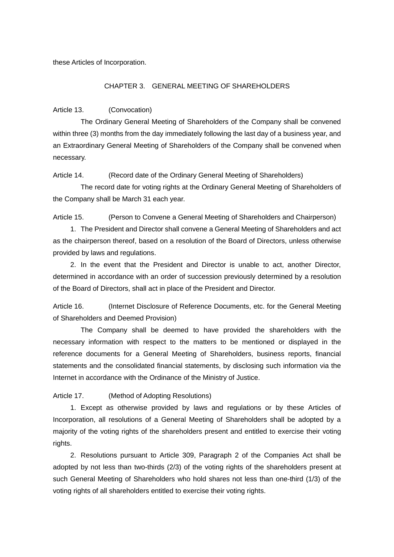these Articles of Incorporation.

#### CHAPTER 3. GENERAL MEETING OF SHAREHOLDERS

Article 13. (Convocation)

The Ordinary General Meeting of Shareholders of the Company shall be convened within three (3) months from the day immediately following the last day of a business year, and an Extraordinary General Meeting of Shareholders of the Company shall be convened when necessary.

Article 14. (Record date of the Ordinary General Meeting of Shareholders)

The record date for voting rights at the Ordinary General Meeting of Shareholders of the Company shall be March 31 each year.

Article 15. (Person to Convene a General Meeting of Shareholders and Chairperson)

1. The President and Director shall convene a General Meeting of Shareholders and act as the chairperson thereof, based on a resolution of the Board of Directors, unless otherwise provided by laws and regulations.

2. In the event that the President and Director is unable to act, another Director, determined in accordance with an order of succession previously determined by a resolution of the Board of Directors, shall act in place of the President and Director.

Article 16. (Internet Disclosure of Reference Documents, etc. for the General Meeting of Shareholders and Deemed Provision)

The Company shall be deemed to have provided the shareholders with the necessary information with respect to the matters to be mentioned or displayed in the reference documents for a General Meeting of Shareholders, business reports, financial statements and the consolidated financial statements, by disclosing such information via the Internet in accordance with the Ordinance of the Ministry of Justice.

Article 17. (Method of Adopting Resolutions)

1. Except as otherwise provided by laws and regulations or by these Articles of Incorporation, all resolutions of a General Meeting of Shareholders shall be adopted by a majority of the voting rights of the shareholders present and entitled to exercise their voting rights.

2. Resolutions pursuant to Article 309, Paragraph 2 of the Companies Act shall be adopted by not less than two-thirds (2/3) of the voting rights of the shareholders present at such General Meeting of Shareholders who hold shares not less than one-third (1/3) of the voting rights of all shareholders entitled to exercise their voting rights.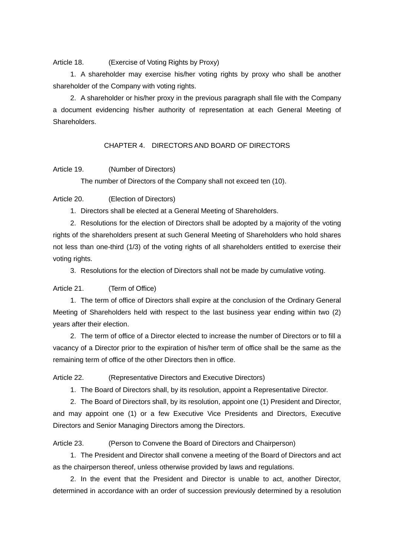Article 18. (Exercise of Voting Rights by Proxy)

1. A shareholder may exercise his/her voting rights by proxy who shall be another shareholder of the Company with voting rights.

2. A shareholder or his/her proxy in the previous paragraph shall file with the Company a document evidencing his/her authority of representation at each General Meeting of **Shareholders** 

CHAPTER 4. DIRECTORS AND BOARD OF DIRECTORS

#### Article 19. (Number of Directors)

The number of Directors of the Company shall not exceed ten (10).

Article 20. (Election of Directors)

1. Directors shall be elected at a General Meeting of Shareholders.

2. Resolutions for the election of Directors shall be adopted by a majority of the voting rights of the shareholders present at such General Meeting of Shareholders who hold shares not less than one-third (1/3) of the voting rights of all shareholders entitled to exercise their voting rights.

3. Resolutions for the election of Directors shall not be made by cumulative voting.

Article 21. (Term of Office)

1. The term of office of Directors shall expire at the conclusion of the Ordinary General Meeting of Shareholders held with respect to the last business year ending within two (2) years after their election.

2. The term of office of a Director elected to increase the number of Directors or to fill a vacancy of a Director prior to the expiration of his/her term of office shall be the same as the remaining term of office of the other Directors then in office.

Article 22. (Representative Directors and Executive Directors)

1. The Board of Directors shall, by its resolution, appoint a Representative Director.

2. The Board of Directors shall, by its resolution, appoint one (1) President and Director, and may appoint one (1) or a few Executive Vice Presidents and Directors, Executive Directors and Senior Managing Directors among the Directors.

Article 23. (Person to Convene the Board of Directors and Chairperson)

1. The President and Director shall convene a meeting of the Board of Directors and act as the chairperson thereof, unless otherwise provided by laws and regulations.

2. In the event that the President and Director is unable to act, another Director, determined in accordance with an order of succession previously determined by a resolution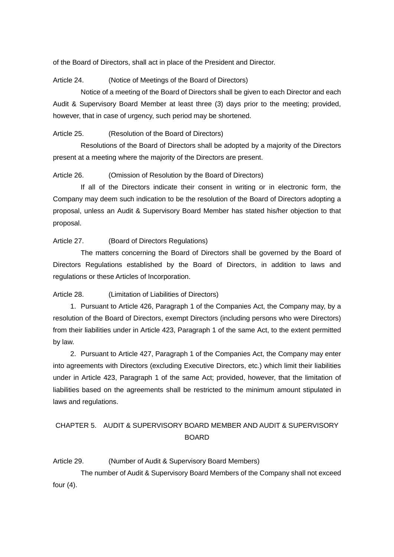of the Board of Directors, shall act in place of the President and Director.

Article 24. (Notice of Meetings of the Board of Directors)

Notice of a meeting of the Board of Directors shall be given to each Director and each Audit & Supervisory Board Member at least three (3) days prior to the meeting; provided, however, that in case of urgency, such period may be shortened.

Article 25. (Resolution of the Board of Directors)

Resolutions of the Board of Directors shall be adopted by a majority of the Directors present at a meeting where the majority of the Directors are present.

Article 26. (Omission of Resolution by the Board of Directors)

If all of the Directors indicate their consent in writing or in electronic form, the Company may deem such indication to be the resolution of the Board of Directors adopting a proposal, unless an Audit & Supervisory Board Member has stated his/her objection to that proposal.

Article 27. (Board of Directors Regulations)

The matters concerning the Board of Directors shall be governed by the Board of Directors Regulations established by the Board of Directors, in addition to laws and regulations or these Articles of Incorporation.

Article 28. (Limitation of Liabilities of Directors)

1. Pursuant to Article 426, Paragraph 1 of the Companies Act, the Company may, by a resolution of the Board of Directors, exempt Directors (including persons who were Directors) from their liabilities under in Article 423, Paragraph 1 of the same Act, to the extent permitted by law.

2. Pursuant to Article 427, Paragraph 1 of the Companies Act, the Company may enter into agreements with Directors (excluding Executive Directors, etc.) which limit their liabilities under in Article 423, Paragraph 1 of the same Act; provided, however, that the limitation of liabilities based on the agreements shall be restricted to the minimum amount stipulated in laws and regulations.

# CHAPTER 5. AUDIT & SUPERVISORY BOARD MEMBER AND AUDIT & SUPERVISORY BOARD

Article 29. (Number of Audit & Supervisory Board Members)

The number of Audit & Supervisory Board Members of the Company shall not exceed four (4).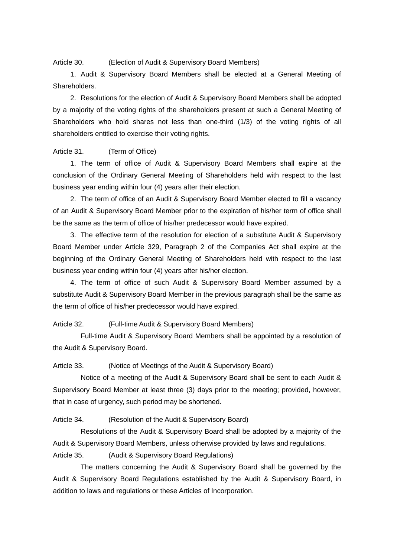Article 30. (Election of Audit & Supervisory Board Members)

1. Audit & Supervisory Board Members shall be elected at a General Meeting of **Shareholders** 

2. Resolutions for the election of Audit & Supervisory Board Members shall be adopted by a majority of the voting rights of the shareholders present at such a General Meeting of Shareholders who hold shares not less than one-third (1/3) of the voting rights of all shareholders entitled to exercise their voting rights.

#### Article 31. (Term of Office)

1. The term of office of Audit & Supervisory Board Members shall expire at the conclusion of the Ordinary General Meeting of Shareholders held with respect to the last business year ending within four (4) years after their election.

2. The term of office of an Audit & Supervisory Board Member elected to fill a vacancy of an Audit & Supervisory Board Member prior to the expiration of his/her term of office shall be the same as the term of office of his/her predecessor would have expired.

3. The effective term of the resolution for election of a substitute Audit & Supervisory Board Member under Article 329, Paragraph 2 of the Companies Act shall expire at the beginning of the Ordinary General Meeting of Shareholders held with respect to the last business year ending within four (4) years after his/her election.

4. The term of office of such Audit & Supervisory Board Member assumed by a substitute Audit & Supervisory Board Member in the previous paragraph shall be the same as the term of office of his/her predecessor would have expired.

#### Article 32. (Full-time Audit & Supervisory Board Members)

Full-time Audit & Supervisory Board Members shall be appointed by a resolution of the Audit & Supervisory Board.

#### Article 33. (Notice of Meetings of the Audit & Supervisory Board)

Notice of a meeting of the Audit & Supervisory Board shall be sent to each Audit & Supervisory Board Member at least three (3) days prior to the meeting; provided, however, that in case of urgency, such period may be shortened.

#### Article 34. (Resolution of the Audit & Supervisory Board)

Resolutions of the Audit & Supervisory Board shall be adopted by a majority of the Audit & Supervisory Board Members, unless otherwise provided by laws and regulations. Article 35. (Audit & Supervisory Board Regulations)

The matters concerning the Audit & Supervisory Board shall be governed by the Audit & Supervisory Board Regulations established by the Audit & Supervisory Board, in addition to laws and regulations or these Articles of Incorporation.